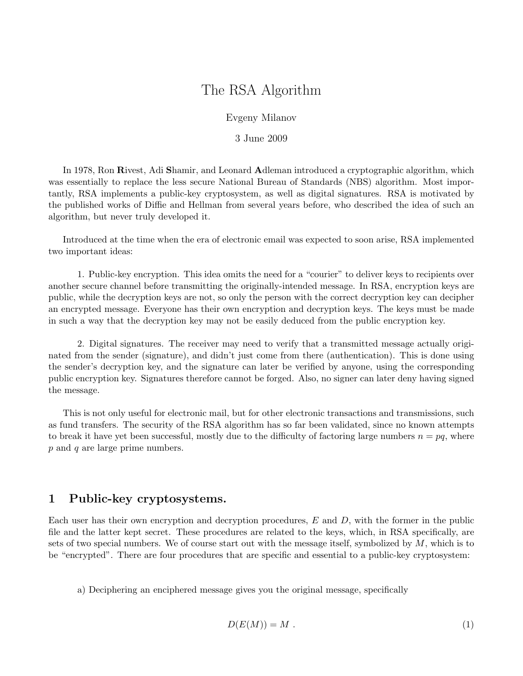# The RSA Algorithm

Evgeny Milanov

3 June 2009

In 1978, Ron Rivest, Adi Shamir, and Leonard Adleman introduced a cryptographic algorithm, which was essentially to replace the less secure National Bureau of Standards (NBS) algorithm. Most importantly, RSA implements a public-key cryptosystem, as well as digital signatures. RSA is motivated by the published works of Diffie and Hellman from several years before, who described the idea of such an algorithm, but never truly developed it.

Introduced at the time when the era of electronic email was expected to soon arise, RSA implemented two important ideas:

1. Public-key encryption. This idea omits the need for a "courier" to deliver keys to recipients over another secure channel before transmitting the originally-intended message. In RSA, encryption keys are public, while the decryption keys are not, so only the person with the correct decryption key can decipher an encrypted message. Everyone has their own encryption and decryption keys. The keys must be made in such a way that the decryption key may not be easily deduced from the public encryption key.

2. Digital signatures. The receiver may need to verify that a transmitted message actually originated from the sender (signature), and didn't just come from there (authentication). This is done using the sender's decryption key, and the signature can later be verified by anyone, using the corresponding public encryption key. Signatures therefore cannot be forged. Also, no signer can later deny having signed the message.

This is not only useful for electronic mail, but for other electronic transactions and transmissions, such as fund transfers. The security of the RSA algorithm has so far been validated, since no known attempts to break it have yet been successful, mostly due to the difficulty of factoring large numbers  $n = pq$ , where p and q are large prime numbers.

# 1 Public-key cryptosystems.

Each user has their own encryption and decryption procedures,  $E$  and  $D$ , with the former in the public file and the latter kept secret. These procedures are related to the keys, which, in RSA specifically, are sets of two special numbers. We of course start out with the message itself, symbolized by  $M$ , which is to be "encrypted". There are four procedures that are specific and essential to a public-key cryptosystem:

a) Deciphering an enciphered message gives you the original message, specifically

$$
D(E(M)) = M.
$$
 (1)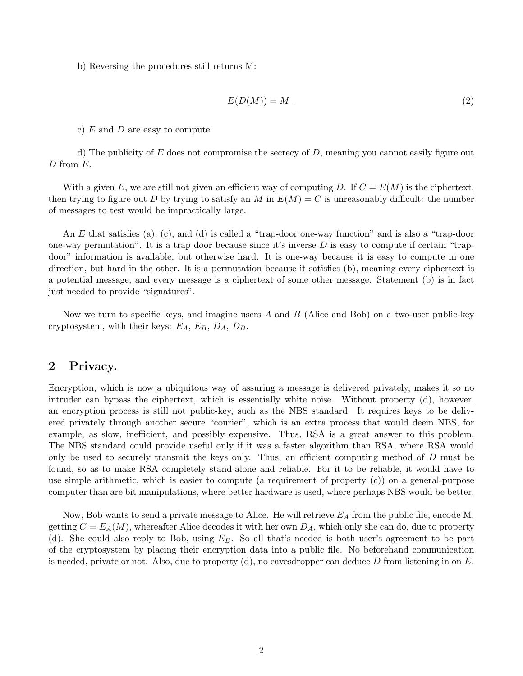b) Reversing the procedures still returns M:

$$
E(D(M)) = M . \t\t(2)
$$

c)  $E$  and  $D$  are easy to compute.

d) The publicity of E does not compromise the secrecy of D, meaning you cannot easily figure out D from E.

With a given E, we are still not given an efficient way of computing D. If  $C = E(M)$  is the ciphertext, then trying to figure out D by trying to satisfy an M in  $E(M) = C$  is unreasonably difficult: the number of messages to test would be impractically large.

An E that satisfies (a), (c), and (d) is called a "trap-door one-way function" and is also a "trap-door one-way permutation". It is a trap door because since it's inverse  $D$  is easy to compute if certain "trapdoor" information is available, but otherwise hard. It is one-way because it is easy to compute in one direction, but hard in the other. It is a permutation because it satisfies (b), meaning every ciphertext is a potential message, and every message is a ciphertext of some other message. Statement (b) is in fact just needed to provide "signatures".

Now we turn to specific keys, and imagine users  $A$  and  $B$  (Alice and Bob) on a two-user public-key cryptosystem, with their keys:  $E_A$ ,  $E_B$ ,  $D_A$ ,  $D_B$ .

# 2 Privacy.

Encryption, which is now a ubiquitous way of assuring a message is delivered privately, makes it so no intruder can bypass the ciphertext, which is essentially white noise. Without property (d), however, an encryption process is still not public-key, such as the NBS standard. It requires keys to be delivered privately through another secure "courier", which is an extra process that would deem NBS, for example, as slow, inefficient, and possibly expensive. Thus, RSA is a great answer to this problem. The NBS standard could provide useful only if it was a faster algorithm than RSA, where RSA would only be used to securely transmit the keys only. Thus, an efficient computing method of D must be found, so as to make RSA completely stand-alone and reliable. For it to be reliable, it would have to use simple arithmetic, which is easier to compute (a requirement of property (c)) on a general-purpose computer than are bit manipulations, where better hardware is used, where perhaps NBS would be better.

Now, Bob wants to send a private message to Alice. He will retrieve  $E_A$  from the public file, encode M, getting  $C = E_A(M)$ , whereafter Alice decodes it with her own  $D_A$ , which only she can do, due to property (d). She could also reply to Bob, using  $E_B$ . So all that's needed is both user's agreement to be part of the cryptosystem by placing their encryption data into a public file. No beforehand communication is needed, private or not. Also, due to property  $(d)$ , no eavesdropper can deduce D from listening in on E.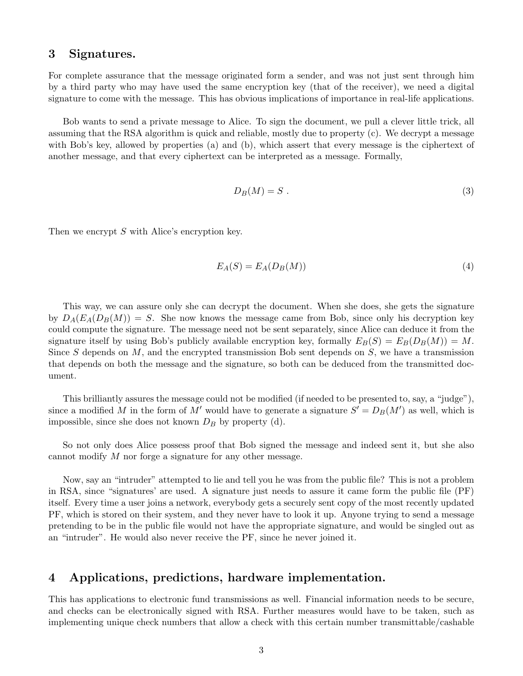# 3 Signatures.

For complete assurance that the message originated form a sender, and was not just sent through him by a third party who may have used the same encryption key (that of the receiver), we need a digital signature to come with the message. This has obvious implications of importance in real-life applications.

Bob wants to send a private message to Alice. To sign the document, we pull a clever little trick, all assuming that the RSA algorithm is quick and reliable, mostly due to property (c). We decrypt a message with Bob's key, allowed by properties (a) and (b), which assert that every message is the ciphertext of another message, and that every ciphertext can be interpreted as a message. Formally,

$$
D_B(M) = S \tag{3}
$$

Then we encrypt S with Alice's encryption key.

$$
E_A(S) = E_A(D_B(M))
$$
\n<sup>(4)</sup>

This way, we can assure only she can decrypt the document. When she does, she gets the signature by  $D_A(E_A(D_B(M))) = S$ . She now knows the message came from Bob, since only his decryption key could compute the signature. The message need not be sent separately, since Alice can deduce it from the signature itself by using Bob's publicly available encryption key, formally  $E_B(S) = E_B(D_B(M)) = M$ . Since S depends on  $M$ , and the encrypted transmission Bob sent depends on  $S$ , we have a transmission that depends on both the message and the signature, so both can be deduced from the transmitted document.

This brilliantly assures the message could not be modified (if needed to be presented to, say, a "judge"), since a modified M in the form of M' would have to generate a signature  $S' = D_B(M')$  as well, which is impossible, since she does not known  $D_B$  by property (d).

So not only does Alice possess proof that Bob signed the message and indeed sent it, but she also cannot modify M nor forge a signature for any other message.

Now, say an "intruder" attempted to lie and tell you he was from the public file? This is not a problem in RSA, since "signatures' are used. A signature just needs to assure it came form the public file (PF) itself. Every time a user joins a network, everybody gets a securely sent copy of the most recently updated PF, which is stored on their system, and they never have to look it up. Anyone trying to send a message pretending to be in the public file would not have the appropriate signature, and would be singled out as an "intruder". He would also never receive the PF, since he never joined it.

# 4 Applications, predictions, hardware implementation.

This has applications to electronic fund transmissions as well. Financial information needs to be secure, and checks can be electronically signed with RSA. Further measures would have to be taken, such as implementing unique check numbers that allow a check with this certain number transmittable/cashable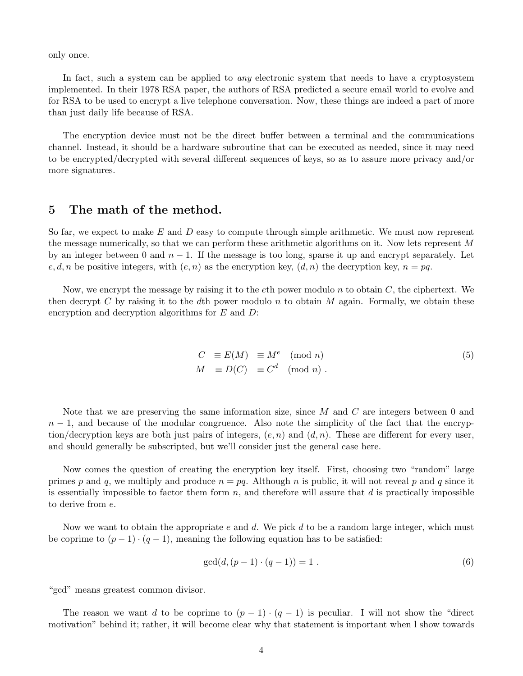only once.

In fact, such a system can be applied to *any* electronic system that needs to have a cryptosystem implemented. In their 1978 RSA paper, the authors of RSA predicted a secure email world to evolve and for RSA to be used to encrypt a live telephone conversation. Now, these things are indeed a part of more than just daily life because of RSA.

The encryption device must not be the direct buffer between a terminal and the communications channel. Instead, it should be a hardware subroutine that can be executed as needed, since it may need to be encrypted/decrypted with several different sequences of keys, so as to assure more privacy and/or more signatures.

# 5 The math of the method.

So far, we expect to make  $E$  and  $D$  easy to compute through simple arithmetic. We must now represent the message numerically, so that we can perform these arithmetic algorithms on it. Now lets represent M by an integer between 0 and  $n-1$ . If the message is too long, sparse it up and encrypt separately. Let  $e, d, n$  be positive integers, with  $(e, n)$  as the encryption key,  $(d, n)$  the decryption key,  $n = pq$ .

Now, we encrypt the message by raising it to the eth power modulo n to obtain  $C$ , the ciphertext. We then decrypt C by raising it to the dth power modulo n to obtain M again. Formally, we obtain these encryption and decryption algorithms for  $E$  and  $D$ :

$$
C \equiv E(M) \equiv M^e \pmod{n}
$$
  
\n
$$
M \equiv D(C) \equiv C^d \pmod{n}.
$$
\n(5)

Note that we are preserving the same information size, since  $M$  and  $C$  are integers between 0 and  $n-1$ , and because of the modular congruence. Also note the simplicity of the fact that the encryption/decryption keys are both just pairs of integers,  $(e, n)$  and  $(d, n)$ . These are different for every user, and should generally be subscripted, but we'll consider just the general case here.

Now comes the question of creating the encryption key itself. First, choosing two "random" large primes p and q, we multiply and produce  $n = pq$ . Although n is public, it will not reveal p and q since it is essentially impossible to factor them form  $n$ , and therefore will assure that  $d$  is practically impossible to derive from e.

Now we want to obtain the appropriate e and d. We pick d to be a random large integer, which must be coprime to  $(p-1) \cdot (q-1)$ , meaning the following equation has to be satisfied:

$$
\gcd(d, (p-1) \cdot (q-1)) = 1 \tag{6}
$$

"gcd" means greatest common divisor.

The reason we want d to be coprime to  $(p-1) \cdot (q-1)$  is peculiar. I will not show the "direct" motivation" behind it; rather, it will become clear why that statement is important when l show towards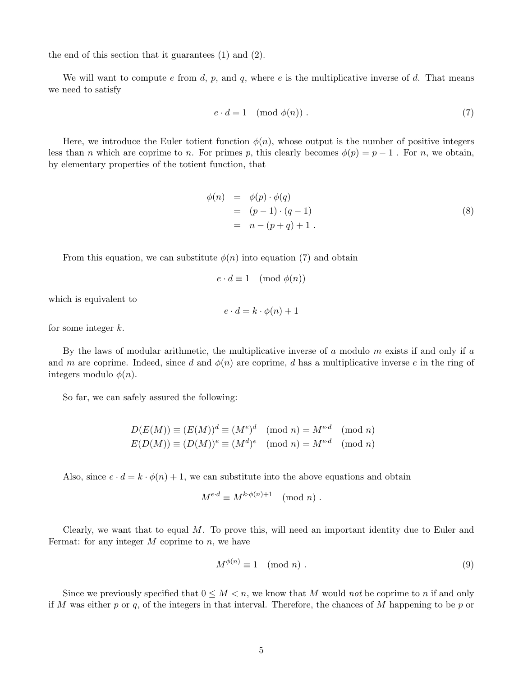the end of this section that it guarantees (1) and (2).

We will want to compute e from d, p, and q, where e is the multiplicative inverse of d. That means we need to satisfy

$$
e \cdot d = 1 \pmod{\phi(n)}.
$$
 (7)

Here, we introduce the Euler totient function  $\phi(n)$ , whose output is the number of positive integers less than n which are coprime to n. For primes p, this clearly becomes  $\phi(p) = p - 1$ . For n, we obtain, by elementary properties of the totient function, that

$$
\begin{array}{rcl}\n\phi(n) & = & \phi(p) \cdot \phi(q) \\
& = & (p-1) \cdot (q-1) \\
& = & n - (p+q) + 1 \,.\n\end{array} \tag{8}
$$

From this equation, we can substitute  $\phi(n)$  into equation (7) and obtain

$$
e \cdot d \equiv 1 \pmod{\phi(n)}
$$

which is equivalent to

$$
e \cdot d = k \cdot \phi(n) + 1
$$

for some integer k.

By the laws of modular arithmetic, the multiplicative inverse of  $a$  modulo  $m$  exists if and only if  $a$ and m are coprime. Indeed, since d and  $\phi(n)$  are coprime, d has a multiplicative inverse e in the ring of integers modulo  $\phi(n)$ .

So far, we can safely assured the following:

$$
D(E(M)) \equiv (E(M))^d \equiv (M^e)^d \pmod{n} = M^{e \cdot d} \pmod{n}
$$
  

$$
E(D(M)) \equiv (D(M))^e \equiv (M^d)^e \pmod{n} = M^{e \cdot d} \pmod{n}
$$

Also, since  $e \cdot d = k \cdot \phi(n) + 1$ , we can substitute into the above equations and obtain

$$
M^{e \cdot d} \equiv M^{k \cdot \phi(n)+1} \pmod{n}.
$$

Clearly, we want that to equal  $M$ . To prove this, will need an important identity due to Euler and Fermat: for any integer  $M$  coprime to  $n$ , we have

$$
M^{\phi(n)} \equiv 1 \pmod{n} \tag{9}
$$

Since we previously specified that  $0 \leq M < n$ , we know that M would not be coprime to n if and only if M was either  $p$  or  $q$ , of the integers in that interval. Therefore, the chances of M happening to be  $p$  or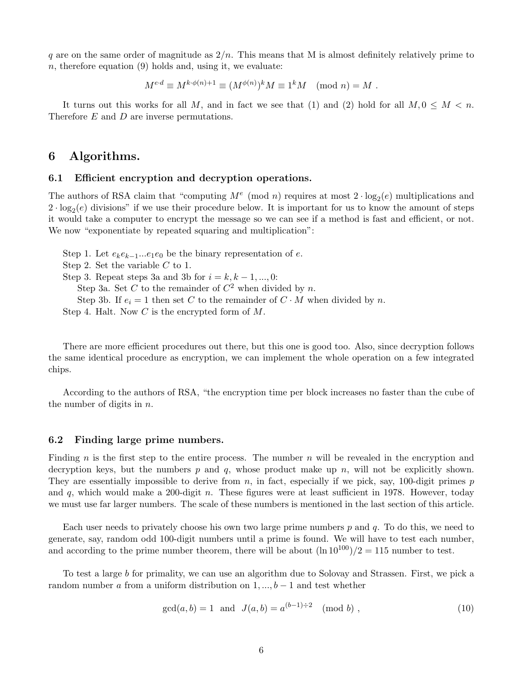q are on the same order of magnitude as  $2/n$ . This means that M is almost definitely relatively prime to  $n$ , therefore equation (9) holds and, using it, we evaluate:

$$
M^{e \cdot d} \equiv M^{k \cdot \phi(n)+1} \equiv (M^{\phi(n)})^k M \equiv 1^k M \pmod{n} = M.
$$

It turns out this works for all M, and in fact we see that (1) and (2) hold for all  $M, 0 \leq M < n$ . Therefore E and D are inverse permutations.

# 6 Algorithms.

### 6.1 Efficient encryption and decryption operations.

The authors of RSA claim that "computing  $M^e \pmod{n}$  requires at most  $2 \cdot \log_2(e)$  multiplications and  $2 \cdot \log_2(e)$  divisions" if we use their procedure below. It is important for us to know the amount of steps it would take a computer to encrypt the message so we can see if a method is fast and efficient, or not. We now "exponentiate by repeated squaring and multiplication":

Step 1. Let  $e_k e_{k-1}...e_1 e_0$  be the binary representation of e. Step 2. Set the variable C to 1. Step 3. Repeat steps 3a and 3b for  $i = k, k - 1, ..., 0$ : Step 3a. Set C to the remainder of  $C^2$  when divided by n. Step 3b. If  $e_i = 1$  then set C to the remainder of  $C \cdot M$  when divided by n. Step 4. Halt. Now  $C$  is the encrypted form of  $M$ .

There are more efficient procedures out there, but this one is good too. Also, since decryption follows the same identical procedure as encryption, we can implement the whole operation on a few integrated chips.

According to the authors of RSA, "the encryption time per block increases no faster than the cube of the number of digits in  $n$ .

### 6.2 Finding large prime numbers.

Finding n is the first step to the entire process. The number  $n$  will be revealed in the encryption and decryption keys, but the numbers  $p$  and  $q$ , whose product make up  $n$ , will not be explicitly shown. They are essentially impossible to derive from  $n$ , in fact, especially if we pick, say, 100-digit primes  $p$ and q, which would make a 200-digit  $n$ . These figures were at least sufficient in 1978. However, today we must use far larger numbers. The scale of these numbers is mentioned in the last section of this article.

Each user needs to privately choose his own two large prime numbers  $p$  and  $q$ . To do this, we need to generate, say, random odd 100-digit numbers until a prime is found. We will have to test each number, and according to the prime number theorem, there will be about  $(\ln 10^{100})/2 = 115$  number to test.

To test a large b for primality, we can use an algorithm due to Solovay and Strassen. First, we pick a random number a from a uniform distribution on  $1, ..., b - 1$  and test whether

$$
\gcd(a, b) = 1 \text{ and } J(a, b) = a^{(b-1)\div 2} \pmod{b},\tag{10}
$$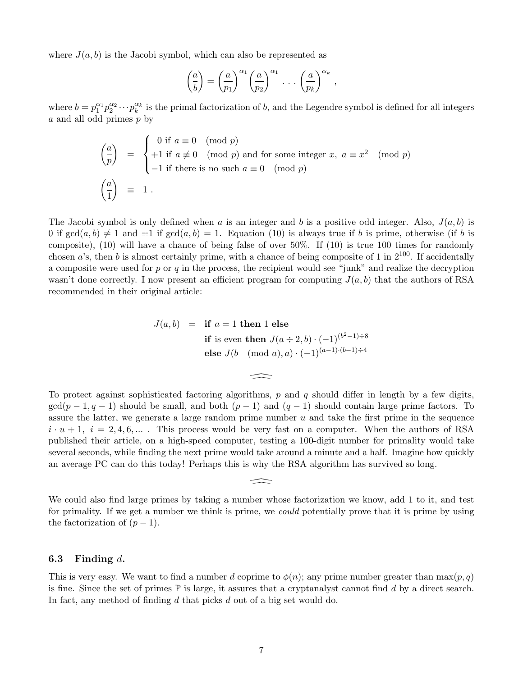where  $J(a, b)$  is the Jacobi symbol, which can also be represented as

$$
\left(\frac{a}{b}\right) = \left(\frac{a}{p_1}\right)^{\alpha_1} \left(\frac{a}{p_2}\right)^{\alpha_1} \cdot \cdot \cdot \left(\frac{a}{p_k}\right)^{\alpha_k},
$$

where  $b=p_1^{\alpha_1}p_2^{\alpha_2}\cdots p_k^{\alpha_k}$  is the primal factorization of b, and the Legendre symbol is defined for all integers a and all odd primes p by

$$
\begin{pmatrix}\n\underline{a} \\
\overline{p}\n\end{pmatrix} = \begin{cases}\n0 \text{ if } a \equiv 0 \pmod{p} \\
+1 \text{ if } a \not\equiv 0 \pmod{p} \text{ and for some integer } x, a \equiv x^2 \pmod{p} \\
-1 \text{ if there is no such } a \equiv 0 \pmod{p}\n\end{cases}
$$
\n
$$
\begin{pmatrix}\n\underline{a} \\
\overline{1}\n\end{pmatrix} = 1.
$$

The Jacobi symbol is only defined when a is an integer and b is a positive odd integer. Also,  $J(a, b)$  is 0 if  $gcd(a, b) \neq 1$  and  $\pm 1$  if  $gcd(a, b) = 1$ . Equation (10) is always true if b is prime, otherwise (if b is composite), (10) will have a chance of being false of over 50%. If (10) is true 100 times for randomly chosen  $a$ 's, then b is almost certainly prime, with a chance of being composite of 1 in  $2^{100}$ . If accidentally a composite were used for  $p$  or  $q$  in the process, the recipient would see "junk" and realize the decryption wasn't done correctly. I now present an efficient program for computing  $J(a, b)$  that the authors of RSA recommended in their original article:

$$
J(a, b) = \text{if } a = 1 \text{ then } 1 \text{ else}
$$
  
if is even then  $J(a \div 2, b) \cdot (-1)^{(b^2 - 1) \div 8}$   
else  $J(b \pmod{a}, a) \cdot (-1)^{(a-1) \cdot (b-1) \div 4}$ 

 $\implies$ 

To protect against sophisticated factoring algorithms,  $p$  and  $q$  should differ in length by a few digits,  $\gcd(p-1, q-1)$  should be small, and both  $(p-1)$  and  $(q-1)$  should contain large prime factors. To assure the latter, we generate a large random prime number  $u$  and take the first prime in the sequence  $i \cdot u + 1$ ,  $i = 2, 4, 6, \dots$ . This process would be very fast on a computer. When the authors of RSA published their article, on a high-speed computer, testing a 100-digit number for primality would take several seconds, while finding the next prime would take around a minute and a half. Imagine how quickly an average PC can do this today! Perhaps this is why the RSA algorithm has survived so long.

We could also find large primes by taking a number whose factorization we know, add 1 to it, and test for primality. If we get a number we think is prime, we could potentially prove that it is prime by using the factorization of  $(p-1)$ .

 $\widehat{\phantom{a}}$ 

### 6.3 Finding  $d$ .

This is very easy. We want to find a number d coprime to  $\phi(n)$ ; any prime number greater than  $\max(p, q)$ is fine. Since the set of primes  $\mathbb P$  is large, it assures that a cryptanalyst cannot find d by a direct search. In fact, any method of finding d that picks d out of a big set would do.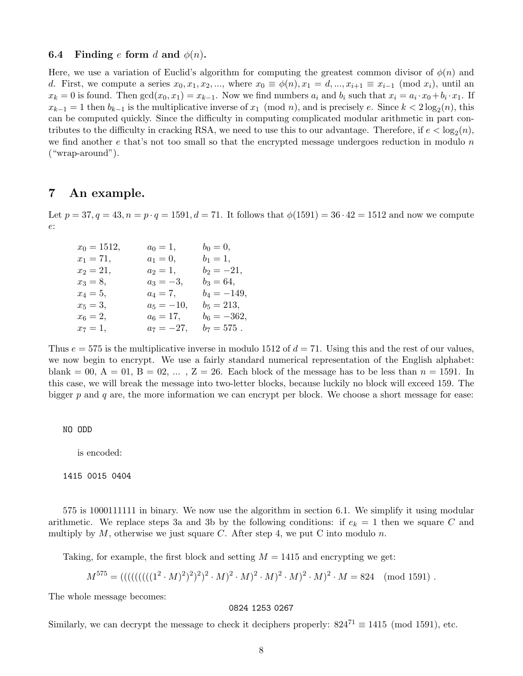### **6.4** Finding e form d and  $\phi(n)$ .

Here, we use a variation of Euclid's algorithm for computing the greatest common divisor of  $\phi(n)$  and d. First, we compute a series  $x_0, x_1, x_2, ...,$  where  $x_0 \equiv \phi(n), x_1 = d, ..., x_{i+1} \equiv x_{i-1} \pmod{x_i}$ , until an  $x_k = 0$  is found. Then  $gcd(x_0, x_1) = x_{k-1}$ . Now we find numbers  $a_i$  and  $b_i$  such that  $x_i = a_i \cdot x_0 + b_i \cdot x_1$ . If  $x_{k-1} = 1$  then  $b_{k-1}$  is the multiplicative inverse of  $x_1 \pmod{n}$ , and is precisely e. Since  $k < 2 \log_2(n)$ , this can be computed quickly. Since the difficulty in computing complicated modular arithmetic in part contributes to the difficulty in cracking RSA, we need to use this to our advantage. Therefore, if  $e < \log_2(n)$ , we find another  $e$  that's not too small so that the encrypted message undergoes reduction in modulo  $n$ ("wrap-around").

### 7 An example.

Let  $p = 37, q = 43, n = p \cdot q = 1591, d = 71$ . It follows that  $\phi(1591) = 36 \cdot 42 = 1512$  and now we compute e:

| $x_0 = 1512,$ | $a_0 = 1,$   | $b_0 = 0,$    |
|---------------|--------------|---------------|
| $x_1 = 71,$   | $a_1 = 0,$   | $b_1 = 1,$    |
| $x_2 = 21,$   | $a_2 = 1,$   | $b_2 = -21,$  |
| $x_3 = 8,$    | $a_3 = -3,$  | $b_3 = 64,$   |
| $x_4 = 5,$    | $a_4 = 7,$   | $b_4 = -149,$ |
| $x_5 = 3,$    | $a_5 = -10,$ | $b_5 = 213,$  |
| $x_6 = 2,$    | $a_6 = 17,$  | $b_6 = -362,$ |
| $x_7 = 1,$    | $a_7 = -27,$ | $b_7 = 575$ . |

Thus  $e = 575$  is the multiplicative inverse in modulo 1512 of  $d = 71$ . Using this and the rest of our values, we now begin to encrypt. We use a fairly standard numerical representation of the English alphabet: blank = 00, A = 01, B = 02, ..., Z = 26. Each block of the message has to be less than  $n = 1591$ . In this case, we will break the message into two-letter blocks, because luckily no block will exceed 159. The bigger  $p$  and  $q$  are, the more information we can encrypt per block. We choose a short message for ease:

#### NO ODD

is encoded:

#### 1415 0015 0404

575 is 1000111111 in binary. We now use the algorithm in section 6.1. We simplify it using modular arithmetic. We replace steps 3a and 3b by the following conditions: if  $e_k = 1$  then we square C and multiply by  $M$ , otherwise we just square C. After step 4, we put C into modulo n.

Taking, for example, the first block and setting  $M = 1415$  and encrypting we get:

$$
M^{575} = (((||((||((12 · M)2)2)2 · M)2 · M)2 · M)2 · M)2 · M = 824 \pmod{1591}.
$$

The whole message becomes:

#### 0824 1253 0267

Similarly, we can decrypt the message to check it deciphers properly:  $824^{71} \equiv 1415 \pmod{1591}$ , etc.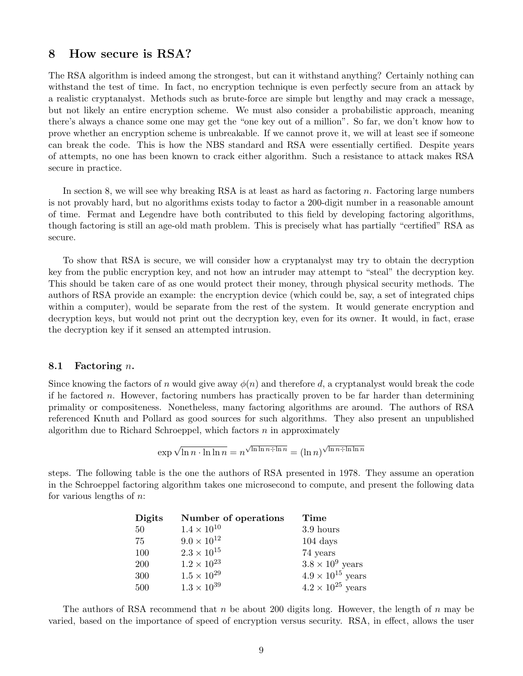# 8 How secure is RSA?

The RSA algorithm is indeed among the strongest, but can it withstand anything? Certainly nothing can withstand the test of time. In fact, no encryption technique is even perfectly secure from an attack by a realistic cryptanalyst. Methods such as brute-force are simple but lengthy and may crack a message, but not likely an entire encryption scheme. We must also consider a probabilistic approach, meaning there's always a chance some one may get the "one key out of a million". So far, we don't know how to prove whether an encryption scheme is unbreakable. If we cannot prove it, we will at least see if someone can break the code. This is how the NBS standard and RSA were essentially certified. Despite years of attempts, no one has been known to crack either algorithm. Such a resistance to attack makes RSA secure in practice.

In section 8, we will see why breaking RSA is at least as hard as factoring n. Factoring large numbers is not provably hard, but no algorithms exists today to factor a 200-digit number in a reasonable amount of time. Fermat and Legendre have both contributed to this field by developing factoring algorithms, though factoring is still an age-old math problem. This is precisely what has partially "certified" RSA as secure.

To show that RSA is secure, we will consider how a cryptanalyst may try to obtain the decryption key from the public encryption key, and not how an intruder may attempt to "steal" the decryption key. This should be taken care of as one would protect their money, through physical security methods. The authors of RSA provide an example: the encryption device (which could be, say, a set of integrated chips within a computer), would be separate from the rest of the system. It would generate encryption and decryption keys, but would not print out the decryption key, even for its owner. It would, in fact, erase the decryption key if it sensed an attempted intrusion.

### 8.1 Factoring  $n$ .

Since knowing the factors of n would give away  $\phi(n)$  and therefore d, a cryptanalyst would break the code if he factored n. However, factoring numbers has practically proven to be far harder than determining primality or compositeness. Nonetheless, many factoring algorithms are around. The authors of RSA referenced Knuth and Pollard as good sources for such algorithms. They also present an unpublished algorithm due to Richard Schroeppel, which factors  $n$  in approximately

$$
\exp\sqrt{\ln n \cdot \ln \ln n} = n^{\sqrt{\ln \ln n \div \ln n}} = (\ln n)^{\sqrt{\ln n \div \ln \ln n}}
$$

steps. The following table is the one the authors of RSA presented in 1978. They assume an operation in the Schroeppel factoring algorithm takes one microsecond to compute, and present the following data for various lengths of  $n$ :

| Digits | Number of operations | Time                       |
|--------|----------------------|----------------------------|
| 50     | $1.4 \times 10^{10}$ | 3.9 hours                  |
| 75     | $9.0 \times 10^{12}$ | $104 \text{ days}$         |
| 100    | $2.3 \times 10^{15}$ | 74 years                   |
| 200    | $1.2 \times 10^{23}$ | $3.8 \times 10^9$ years    |
| 300    | $1.5 \times 10^{29}$ | $4.9 \times 10^{15}$ years |
| 500    | $1.3 \times 10^{39}$ | $4.2 \times 10^{25}$ years |

The authors of RSA recommend that n be about 200 digits long. However, the length of n may be varied, based on the importance of speed of encryption versus security. RSA, in effect, allows the user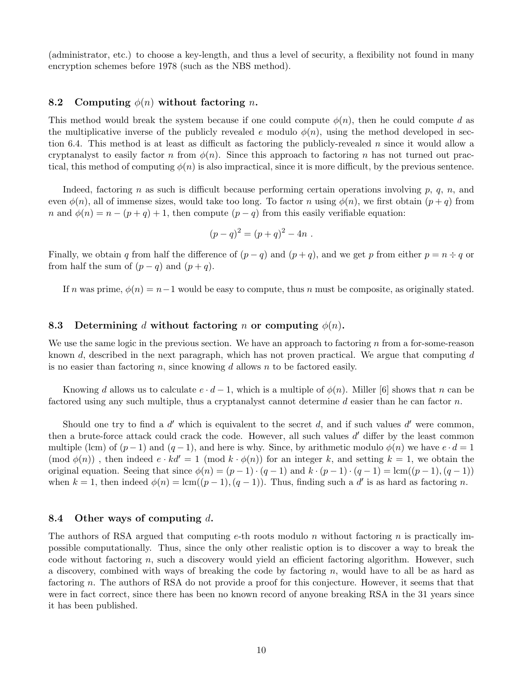(administrator, etc.) to choose a key-length, and thus a level of security, a flexibility not found in many encryption schemes before 1978 (such as the NBS method).

### 8.2 Computing  $\phi(n)$  without factoring *n*.

This method would break the system because if one could compute  $\phi(n)$ , then he could compute d as the multiplicative inverse of the publicly revealed e modulo  $\phi(n)$ , using the method developed in section 6.4. This method is at least as difficult as factoring the publicly-revealed n since it would allow a cryptanalyst to easily factor n from  $\phi(n)$ . Since this approach to factoring n has not turned out practical, this method of computing  $\phi(n)$  is also impractical, since it is more difficult, by the previous sentence.

Indeed, factoring n as such is difficult because performing certain operations involving p, q, n, and even  $\phi(n)$ , all of immense sizes, would take too long. To factor n using  $\phi(n)$ , we first obtain  $(p+q)$  from n and  $\phi(n) = n - (p + q) + 1$ , then compute  $(p - q)$  from this easily verifiable equation:

$$
(p - q)^2 = (p + q)^2 - 4n \; .
$$

Finally, we obtain q from half the difference of  $(p - q)$  and  $(p + q)$ , and we get p from either  $p = n \div q$  or from half the sum of  $(p - q)$  and  $(p + q)$ .

If n was prime,  $\phi(n) = n-1$  would be easy to compute, thus n must be composite, as originally stated.

### 8.3 Determining d without factoring n or computing  $\phi(n)$ .

We use the same logic in the previous section. We have an approach to factoring n from a for-some-reason known  $d$ , described in the next paragraph, which has not proven practical. We argue that computing  $d$ is no easier than factoring n, since knowing d allows n to be factored easily.

Knowing d allows us to calculate  $e \cdot d - 1$ , which is a multiple of  $\phi(n)$ . Miller [6] shows that n can be factored using any such multiple, thus a cryptanalyst cannot determine  $d$  easier than he can factor  $n$ .

Should one try to find a  $d'$  which is equivalent to the secret  $d$ , and if such values  $d'$  were common, then a brute-force attack could crack the code. However, all such values  $d'$  differ by the least common multiple (lcm) of  $(p-1)$  and  $(q-1)$ , and here is why. Since, by arithmetic modulo  $\phi(n)$  we have  $e \cdot d = 1$  $p(\text{mod } \phi(n))$ , then indeed  $e \cdot kd' = 1 \pmod{k \cdot \phi(n)}$  for an integer k, and setting  $k = 1$ , we obtain the original equation. Seeing that since  $\phi(n) = (p-1) \cdot (q-1)$  and  $k \cdot (p-1) \cdot (q-1) = \text{lcm}((p-1), (q-1))$ when  $k = 1$ , then indeed  $\phi(n) = \text{lcm}((p-1), (q-1))$ . Thus, finding such a d' is as hard as factoring n.

### 8.4 Other ways of computing  $d$ .

The authors of RSA argued that computing e-th roots modulo n without factoring n is practically impossible computationally. Thus, since the only other realistic option is to discover a way to break the code without factoring  $n$ , such a discovery would yield an efficient factoring algorithm. However, such a discovery, combined with ways of breaking the code by factoring  $n$ , would have to all be as hard as factoring n. The authors of RSA do not provide a proof for this conjecture. However, it seems that that were in fact correct, since there has been no known record of anyone breaking RSA in the 31 years since it has been published.